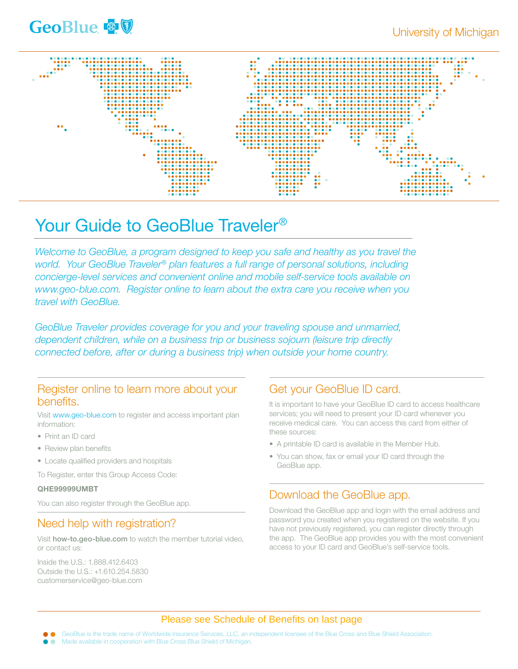



# Your Guide to GeoBlue Traveler<sup>®</sup>

*Welcome to GeoBlue, a program designed to keep you safe and healthy as you travel the world. Your GeoBlue Traveler® plan features a full range of personal solutions, including concierge-level services and convenient online and mobile self-service tools available on www.geo-blue.com. Register online to learn about the extra care you receive when you travel with GeoBlue.* 

*GeoBlue Traveler provides coverage for you and your traveling spouse and unmarried, dependent children, while on a business trip or business sojourn (leisure trip directly connected before, after or during a business trip) when outside your home country.*

#### Register online to learn more about your benefits.

Visit www.geo-blue.com to register and access important plan information:

- Print an ID card
- Review plan benefits
- Locate qualified providers and hospitals

To Register, enter this Group Access Code:

#### QHE99999UMBT

You can also register through the GeoBlue app.

#### Need help with registration?

Visit how-to.geo-blue.com to watch the member tutorial video, or contact us:

Inside the U.S.: 1.888.412.6403 Outside the U.S.: +1.610.254.5830 customerservice@geo-blue.com

#### Get your GeoBlue ID card.

It is important to have your GeoBlue ID card to access healthcare services; you will need to present your ID card whenever you receive medical care. You can access this card from either of these sources:

- A printable ID card is available in the Member Hub.
- You can show, fax or email your ID card through the GeoBlue app.

## Download the GeoBlue app.

Download the GeoBlue app and login with the email address and password you created when you registered on the website. If you have not previously registered, you can register directly through the app. The GeoBlue app provides you with the most convenient access to your ID card and GeoBlue's self-service tools.

#### Please see Schedule of Benefits on last page

GeoBlue is the trade name of Worldwide Insurance Services, LLC, an independent licensee of the Blue Cross and Blue Shield Association. Made available in cooperation with Blue Cross Blue Shield of Michigan.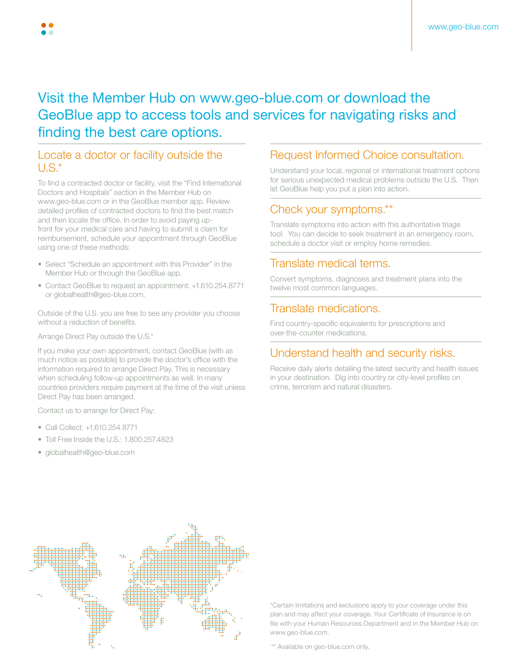# Visit the Member Hub on www.geo-blue.com or download the GeoBlue app to access tools and services for navigating risks and finding the best care options.

#### Locate a doctor or facility outside the  $U.S^*$

To find a contracted doctor or facility, visit the "Find International Doctors and Hospitals" section in the Member Hub on www.geo-blue.com or in the GeoBlue member app. Review detailed profiles of contracted doctors to find the best match and then locate the office. In order to avoid paying upfront for your medical care and having to submit a claim for reimbursement, schedule your appointment through GeoBlue using one of these methods:

- Select "Schedule an appointment with this Provider" in the Member Hub or through the GeoBlue app.
- Contact GeoBlue to request an appointment: +1.610.254.8771 or globalhealth@geo-blue.com.

Outside of the U.S. you are free to see any provider you choose without a reduction of benefits.

Arrange Direct Pay outside the U.S.\*

If you make your own appointment, contact GeoBlue (with as much notice as possible) to provide the doctor's office with the information required to arrange Direct Pay. This is necessary when scheduling follow-up appointments as well. In many countries providers require payment at the time of the visit unless Direct Pay has been arranged.

Contact us to arrange for Direct Pay:

- Call Collect: +1.610.254.8771
- Toll Free Inside the U.S.: 1.800.257.4823
- globalhealth@geo-blue.com

#### Request Informed Choice consultation.

Understand your local, regional or international treatment options for serious unexpected medical problems outside the U.S. Then let GeoBlue help you put a plan into action.

### Check your symptoms.\*\*

Translate symptoms into action with this authoritative triage tool. You can decide to seek treatment in an emergency room, schedule a doctor visit or employ home remedies.

## Translate medical terms.

Convert symptoms, diagnoses and treatment plans into the twelve most common languages.

#### Translate medications.

Find country-specific equivalents for prescriptions and over-the-counter medications.

## Understand health and security risks.

Receive daily alerts detailing the latest security and health issues in your destination. Dig into country or city-level profiles on crime, terrorism and natural disasters.



\*Certain limitations and exclusions apply to your coverage under this plan and may affect your coverage. Your Certificate of Insurance is on file with your Human Resources Department and in the Member Hub on www.geo-blue.com.

\*\* Available on geo-blue.com only.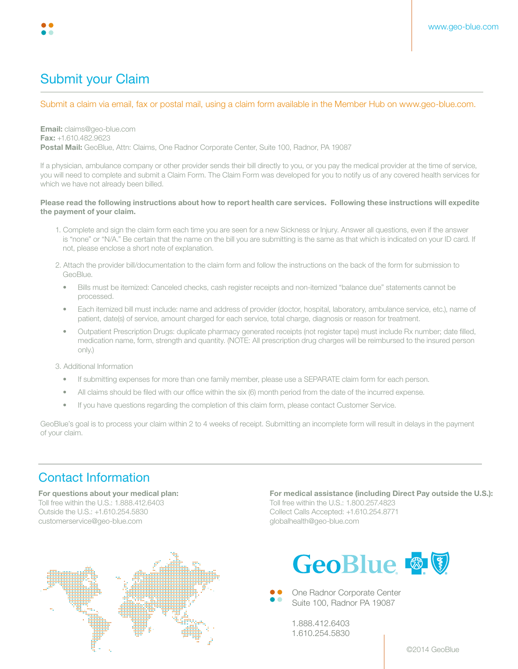

# Submit your Claim

#### Submit a claim via email, fax or postal mail, using a claim form available in the Member Hub on www.geo-blue.com.

Email: claims@geo-blue.com Fax: +1.610.482.9623 Postal Mail: GeoBlue, Attn: Claims, One Radnor Corporate Center, Suite 100, Radnor, PA 19087

If a physician, ambulance company or other provider sends their bill directly to you, or you pay the medical provider at the time of service, you will need to complete and submit a Claim Form. The Claim Form was developed for you to notify us of any covered health services for which we have not already been billed.

#### Please read the following instructions about how to report health care services. Following these instructions will expedite the payment of your claim.

- 1. Complete and sign the claim form each time you are seen for a new Sickness or Injury. Answer all questions, even if the answer is "none" or "N/A." Be certain that the name on the bill you are submitting is the same as that which is indicated on your ID card. If not, please enclose a short note of explanation.
- 2. Attach the provider bill/documentation to the claim form and follow the instructions on the back of the form for submission to GeoBlue.
	- Bills must be itemized: Canceled checks, cash register receipts and non-itemized "balance due" statements cannot be processed.
	- Each itemized bill must include: name and address of provider (doctor, hospital, laboratory, ambulance service, etc.), name of patient, date(s) of service, amount charged for each service, total charge, diagnosis or reason for treatment.
	- Outpatient Prescription Drugs: duplicate pharmacy generated receipts (not register tape) must include Rx number; date filled, medication name, form, strength and quantity. (NOTE: All prescription drug charges will be reimbursed to the insured person only.)

3. Additional Information

- If submitting expenses for more than one family member, please use a SEPARATE claim form for each person.
- All claims should be filed with our office within the six (6) month period from the date of the incurred expense.
- If you have questions regarding the completion of this claim form, please contact Customer Service.

GeoBlue's goal is to process your claim within 2 to 4 weeks of receipt. Submitting an incomplete form will result in delays in the payment of your claim.

## Contact Information

For questions about your medical plan: Toll free within the U.S.: 1.888.412.6403 Outside the U.S.: +1.610.254.5830 customerservice@geo-blue.com



For medical assistance (including Direct Pay outside the U.S.):

Toll free within the U.S.: 1.800.257.4823 Collect Calls Accepted: +1.610.254.8771 globalhealth@geo-blue.com



One Radnor Corporate Center Suite 100, Radnor PA 19087

1.888.412.6403 1.610.254.5830

©2014 GeoBlue